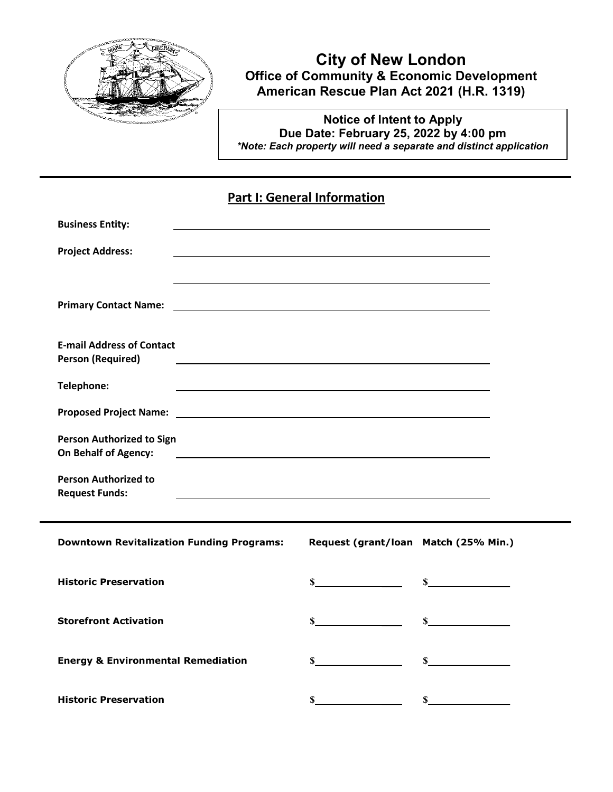

# **City of New London Office of Community & Economic Development American Rescue Plan Act 2021 (H.R. 1319)**

**Notice of Intent to Apply Due Date: February 25, 2022 by 4:00 pm** *\*Note: Each property will need a separate and distinct application*

### **Part I: General Information**

| <b>Business Entity:</b>                                      |                                                                                                                                                                                                                                      |                                      |              |  |
|--------------------------------------------------------------|--------------------------------------------------------------------------------------------------------------------------------------------------------------------------------------------------------------------------------------|--------------------------------------|--------------|--|
| <b>Project Address:</b>                                      |                                                                                                                                                                                                                                      |                                      |              |  |
|                                                              |                                                                                                                                                                                                                                      |                                      |              |  |
| <b>Primary Contact Name:</b>                                 | <u> 1989 - Johann Harry Barn, mars and deutscher Programment and deutscher Programment and deutscher Programment and deutscher Programment and deutscher Programment and deutscher Programment and deutscher Programment and deu</u> |                                      |              |  |
| <b>E-mail Address of Contact</b><br><b>Person (Required)</b> | <u> 1999 - Johann Stoff, amerikansk politiker (d. 1989)</u>                                                                                                                                                                          |                                      |              |  |
| Telephone:                                                   | <u> 1999 - Johann Stoff, amerikansk politiker (d. 1989)</u>                                                                                                                                                                          |                                      |              |  |
|                                                              |                                                                                                                                                                                                                                      |                                      |              |  |
| <b>Person Authorized to Sign</b><br>On Behalf of Agency:     | <u>and the contract of the contract of the contract of the contract of the contract of the contract of the contract of</u>                                                                                                           |                                      |              |  |
| <b>Person Authorized to</b><br><b>Request Funds:</b>         |                                                                                                                                                                                                                                      |                                      |              |  |
|                                                              |                                                                                                                                                                                                                                      |                                      |              |  |
| <b>Downtown Revitalization Funding Programs:</b>             |                                                                                                                                                                                                                                      | Request (grant/loan Match (25% Min.) |              |  |
| <b>Historic Preservation</b>                                 |                                                                                                                                                                                                                                      | $\mathbf S$                          | $\mathbf S$  |  |
| <b>Storefront Activation</b>                                 |                                                                                                                                                                                                                                      | $\mathbb{S}$                         | $\mathbb{S}$ |  |
| <b>Energy &amp; Environmental Remediation</b>                |                                                                                                                                                                                                                                      | $\mathbb{S}$                         | $\mathbf S$  |  |
| <b>Historic Preservation</b>                                 |                                                                                                                                                                                                                                      | \$                                   | \$           |  |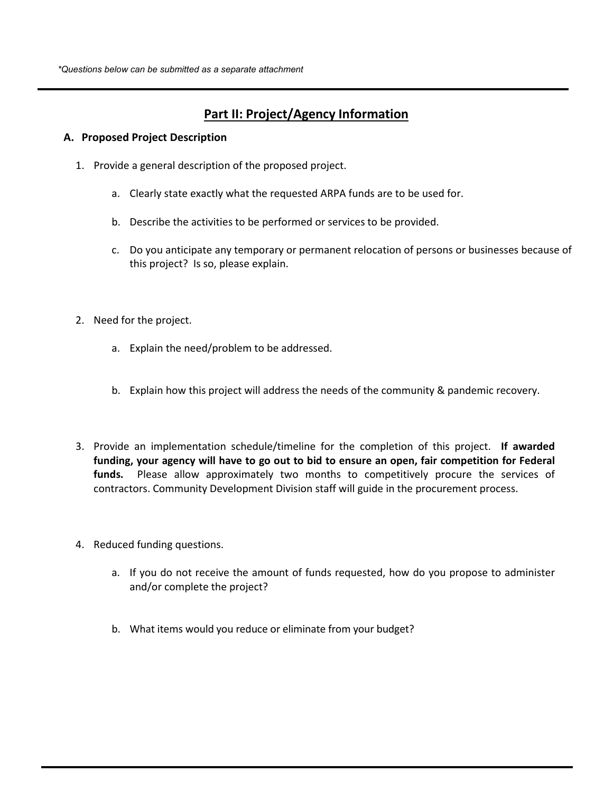# **Part II: Project/Agency Information**

#### **A. Proposed Project Description**

- 1. Provide a general description of the proposed project.
	- a. Clearly state exactly what the requested ARPA funds are to be used for.
	- b. Describe the activities to be performed or services to be provided.
	- c. Do you anticipate any temporary or permanent relocation of persons or businesses because of this project? Is so, please explain.
- 2. Need for the project.
	- a. Explain the need/problem to be addressed.
	- b. Explain how this project will address the needs of the community & pandemic recovery.
- 3. Provide an implementation schedule/timeline for the completion of this project. **If awarded funding, your agency will have to go out to bid to ensure an open, fair competition for Federal funds.** Please allow approximately two months to competitively procure the services of contractors. Community Development Division staff will guide in the procurement process.
- 4. Reduced funding questions.
	- a. If you do not receive the amount of funds requested, how do you propose to administer and/or complete the project?
	- b. What items would you reduce or eliminate from your budget?